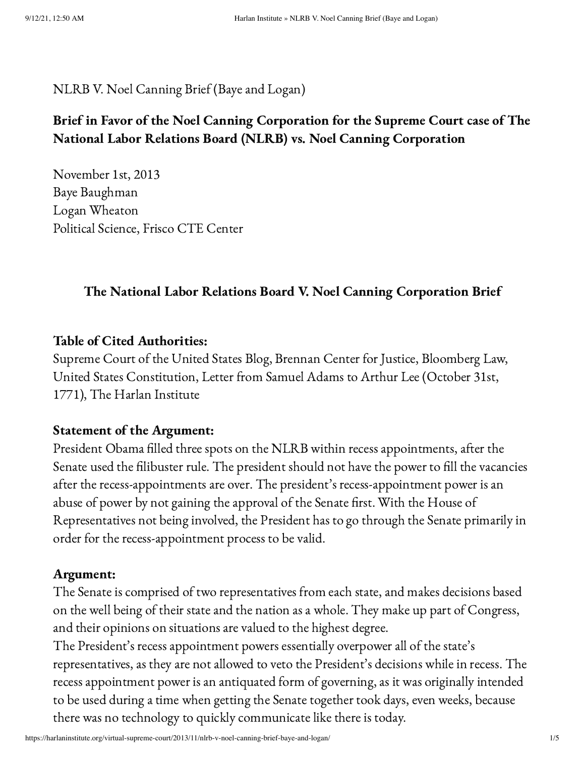# NLRB V. Noel Canning Brief (Baye and Logan)

# Brief in Favor of the Noel Canning Corporation for the Supreme Court case of The National Labor Relations Board (NLRB) vs. Noel Canning Corporation

November 1st, 2013 Baye Baughman Logan Wheaton Political Science, Frisco CTE Center

# The National Labor Relations Board V. Noel Canning Corporation Brief

# Table of Cited Authorities:

Supreme Court of the United States Blog, Brennan Center for Justice, Bloomberg Law, United States Constitution, Letter from Samuel Adams to Arthur Lee (October 31st, 1771), The Harlan Institute

### Statement of the Argument:

President Obama filled three spots on the NLRB within recess appointments, after the Senate used the filibuster rule. The president should not have the power to fill the vacancies after the recess-appointments are over. The president's recess-appointment power is an abuse of power by not gaining the approval of the Senate first. With the House of Representatives not being involved, the President has to go through the Senate primarily in order for the recess-appointment process to be valid.

### Argument:

The Senate is comprised of two representatives from each state, and makes decisions based on the well being of their state and the nation as a whole. They make up part of Congress, and their opinions on situations are valued to the highest degree.

The President's recess appointment powers essentially overpower all of the state's representatives, as they are not allowed to veto the President's decisions while in recess. The recess appointment power is an antiquated form of governing, as it was originally intended to be used during a time when getting the Senate together took days, even weeks, because there was no technology to quickly communicate like there is today.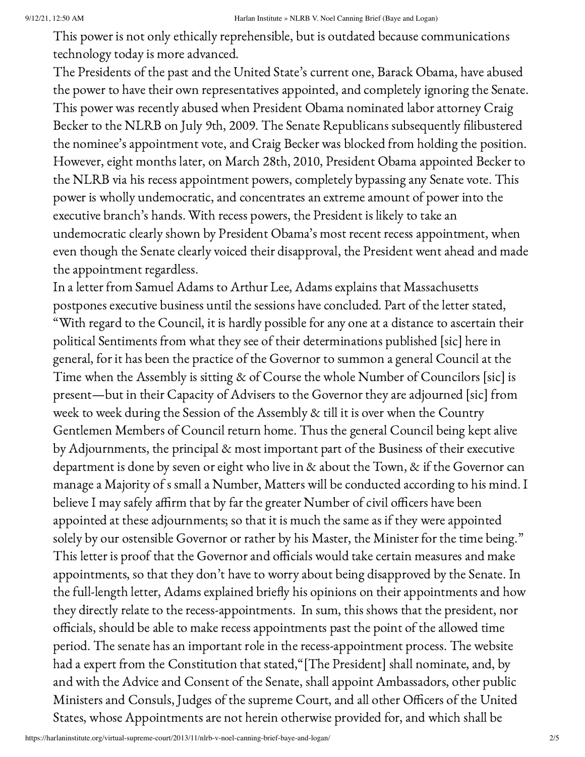This power is not only ethically reprehensible, but is outdated because communications technology today is more advanced.

The Presidents of the past and the United State's current one, Barack Obama, have abused the power to have their own representatives appointed, and completely ignoring the Senate. This power was recently abused when President Obama nominated labor attorney Craig Becker to the NLRB on July 9th, 2009. The Senate Republicans subsequently filibustered the nominee's appointment vote, and Craig Becker was blocked from holding the position. However, eight months later, on March 28th, 2010, President Obama appointed Becker to the NLRB via his recess appointment powers, completely bypassing any Senate vote. This power is wholly undemocratic, and concentrates an extreme amount of power into the executive branch's hands. With recess powers, the President is likely to take an undemocratic clearly shown by President Obama's most recent recess appointment, when even though the Senate clearly voiced their disapproval, the President went ahead and made the appointment regardless.

In a letter from Samuel Adams to Arthur Lee, Adams explains that Massachusetts postpones executive business until the sessions have concluded. Part of the letter stated, "With regard to the Council, it is hardly possible for any one at a distance to ascertain their political Sentiments from what they see of their determinations published [sic] here in general, for it has been the practice of the Governor to summon a general Council at the Time when the Assembly is sitting & of Course the whole Number of Councilors [sic] is present—but in their Capacity of Advisers to the Governor they are adjourned [sic] from week to week during the Session of the Assembly & till it is over when the Country Gentlemen Members of Council return home. Thus the general Council being kept alive by Adjournments, the principal & most important part of the Business of their executive department is done by seven or eight who live in & about the Town, & if the Governor can manage a Majority of s small a Number, Matters will be conducted according to his mind. I believe I may safely affirm that by far the greater Number of civil officers have been appointed at these adjournments; so that it is much the same as if they were appointed solely by our ostensible Governor or rather by his Master, the Minister for the time being." This letter is proof that the Governor and officials would take certain measures and make appointments, so that they don't have to worry about being disapproved by the Senate. In the full-length letter, Adams explained briefly his opinions on their appointments and how they directly relate to the recess-appointments. In sum, this shows that the president, nor officials, should be able to make recess appointments past the point of the allowed time period. The senate has an important role in the recess-appointment process. The website had a expert from the Constitution that stated,"[The President] shall nominate, and, by and with the Advice and Consent of the Senate, shall appoint Ambassadors, other public Ministers and Consuls, Judges of the supreme Court, and all other Officers of the United States, whose Appointments are not herein otherwise provided for, and which shall be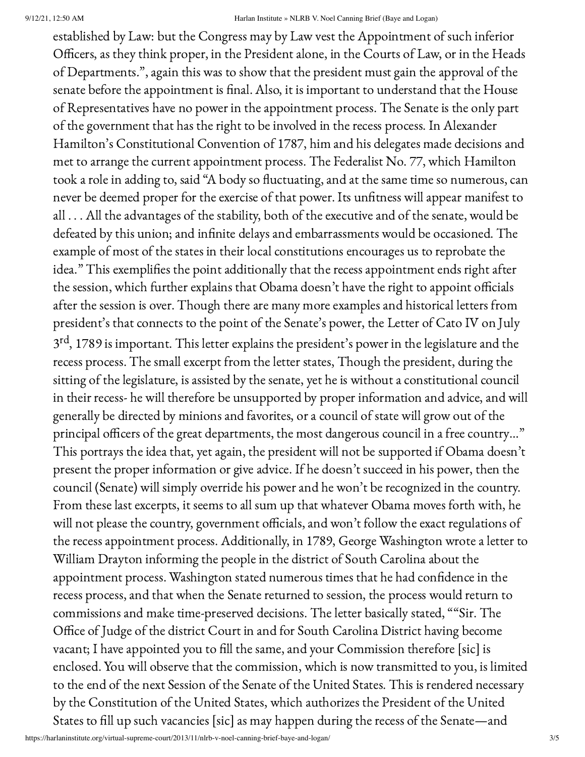established by Law: but the Congress may by Law vest the Appointment of such inferior Officers, as they think proper, in the President alone, in the Courts of Law, or in the Heads of Departments.", again this was to show that the president must gain the approval of the senate before the appointment is final. Also, it is important to understand that the House of Representatives have no power in the appointment process. The Senate is the only part of the government that has the right to be involved in the recess process. In Alexander Hamilton's Constitutional Convention of 1787, him and his delegates made decisions and met to arrange the current appointment process. The Federalist No. 77, which Hamilton took a role in adding to, said "A body so fluctuating, and at the same time so numerous, can never be deemed proper for the exercise of that power. Its unfitness will appear manifest to all . . . All the advantages of the stability, both of the executive and of the senate, would be defeated by this union; and infinite delays and embarrassments would be occasioned. The example of most of the states in their local constitutions encourages us to reprobate the idea." This exemplifies the point additionally that the recess appointment ends right after the session, which further explains that Obama doesn't have the right to appoint officials after the session is over. Though there are many more examples and historical letters from president's that connects to the point of the Senate's power, the Letter of Cato IV on July 3<sup>rd</sup>, 1789 is important. This letter explains the president's power in the legislature and the recess process. The small excerpt from the letter states, Though the president, during the sitting of the legislature, is assisted by the senate, yet he is without a constitutional council in their recess- he will therefore be unsupported by proper information and advice, and will generally be directed by minions and favorites, or a council of state will grow out of the principal officers of the great departments, the most dangerous council in a free country…" This portrays the idea that, yet again, the president will not be supported if Obama doesn't present the proper information or give advice. If he doesn't succeed in his power, then the council (Senate) will simply override his power and he won't be recognized in the country. From these last excerpts, it seems to all sum up that whatever Obama moves forth with, he will not please the country, government officials, and won't follow the exact regulations of the recess appointment process. Additionally, in 1789, George Washington wrote a letter to William Drayton informing the people in the district of South Carolina about the appointment process. Washington stated numerous times that he had confidence in the recess process, and that when the Senate returned to session, the process would return to commissions and make time-preserved decisions. The letter basically stated, ""Sir. The Office of Judge of the district Court in and for South Carolina District having become vacant; I have appointed you to fill the same, and your Commission therefore [sic] is enclosed. You will observe that the commission, which is now transmitted to you, is limited to the end of the next Session of the Senate of the United States. This is rendered necessary by the Constitution of the United States, which authorizes the President of the United States to fill up such vacancies [sic] as may happen during the recess of the Senate—and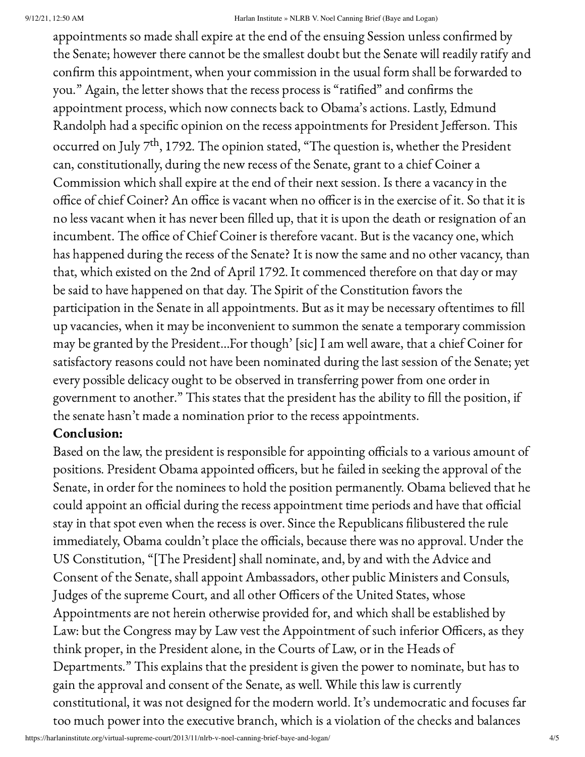#### 9/12/21, 12:50 AM Harlan Institute » NLRB V. Noel Canning Brief (Baye and Logan)

appointments so made shall expire at the end of the ensuing Session unless confirmed by the Senate; however there cannot be the smallest doubt but the Senate will readily ratify and confirm this appointment, when your commission in the usual form shall be forwarded to you." Again, the letter shows that the recess process is "ratified" and confirms the appointment process, which now connects back to Obama's actions. Lastly, Edmund Randolph had a specific opinion on the recess appointments for President Jefferson. This occurred on July  $7^{\text{th}}$ , 1792. The opinion stated, "The question is, whether the President can, constitutionally, during the new recess of the Senate, grant to a chief Coiner a Commission which shall expire at the end of their next session. Is there a vacancy in the office of chief Coiner? An office is vacant when no officer is in the exercise of it. So that it is no less vacant when it has never been filled up, that it is upon the death or resignation of an incumbent. The office of Chief Coiner is therefore vacant. But is the vacancy one, which has happened during the recess of the Senate? It is now the same and no other vacancy, than that, which existed on the 2nd of April 1792. It commenced therefore on that day or may be said to have happened on that day. The Spirit of the Constitution favors the participation in the Senate in all appointments. But as it may be necessary oftentimes to fill up vacancies, when it may be inconvenient to summon the senate a temporary commission may be granted by the President…For though' [sic] I am well aware, that a chief Coiner for satisfactory reasons could not have been nominated during the last session of the Senate; yet every possible delicacy ought to be observed in transferring power from one order in government to another." This states that the president has the ability to fill the position, if the senate hasn't made a nomination prior to the recess appointments.

# Conclusion:

Based on the law, the president is responsible for appointing officials to a various amount of positions. President Obama appointed officers, but he failed in seeking the approval of the Senate, in order for the nominees to hold the position permanently. Obama believed that he could appoint an official during the recess appointment time periods and have that official stay in that spot even when the recess is over. Since the Republicans filibustered the rule immediately, Obama couldn't place the officials, because there was no approval. Under the US Constitution, "[The President] shall nominate, and, by and with the Advice and Consent of the Senate, shall appoint Ambassadors, other public Ministers and Consuls, Judges of the supreme Court, and all other Officers of the United States, whose Appointments are not herein otherwise provided for, and which shall be established by Law: but the Congress may by Law vest the Appointment of such inferior Officers, as they think proper, in the President alone, in the Courts of Law, or in the Heads of Departments." This explains that the president is given the power to nominate, but has to gain the approval and consent of the Senate, as well. While this law is currently constitutional, it was not designed for the modern world. It's undemocratic and focuses far too much power into the executive branch, which is a violation of the checks and balances